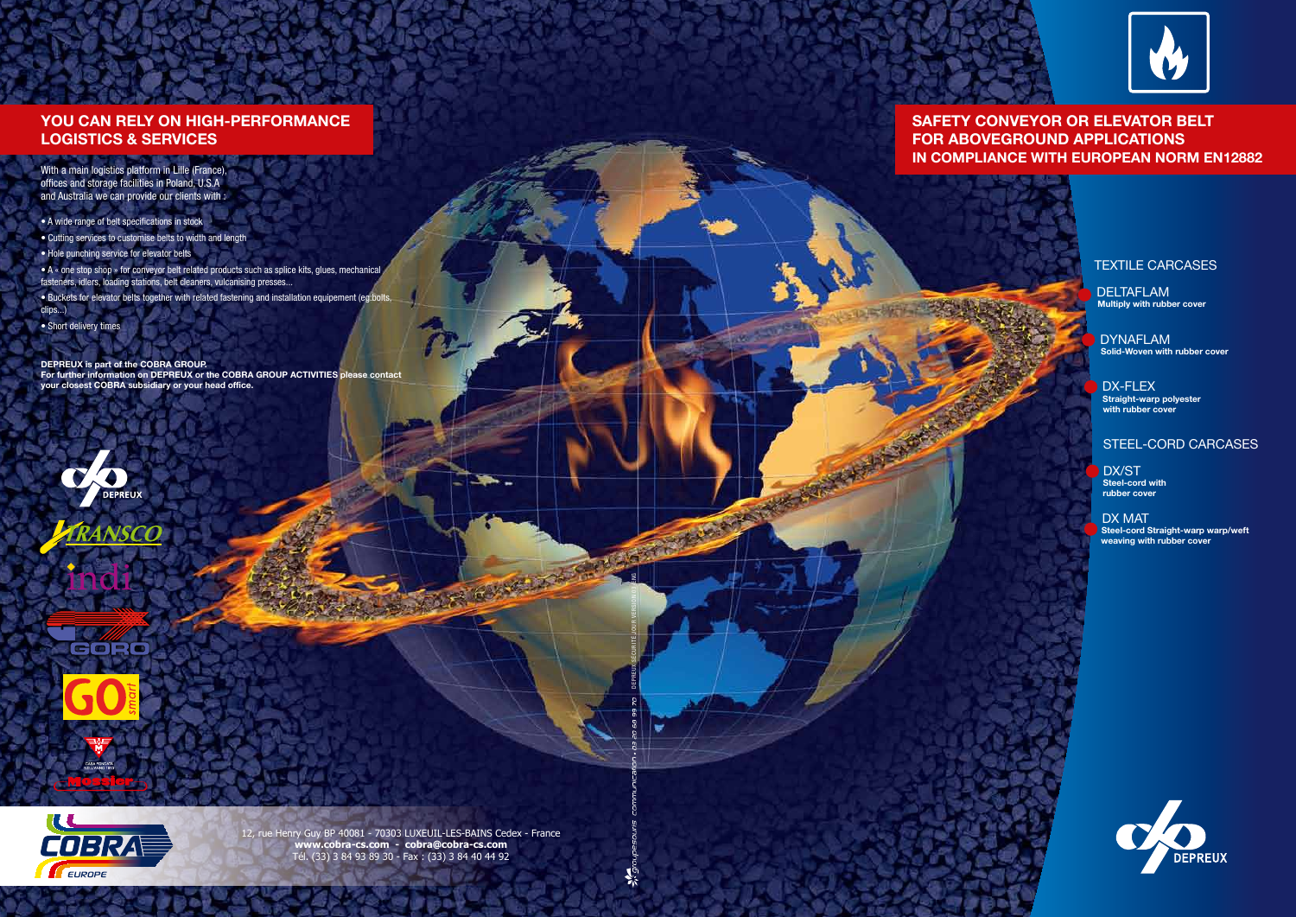





CORO





### TEXTILE CARCASES

**DELTAFLAM Multiply with rubber cover**

DYNAFLAM **Solid-Woven with rubber cover**

DX-FLEX **Straight-warp polyester with rubber cover**

### STEEL-CORD CARCASES

DX/ST **Steel-cord with rubber cover**

DX MAT **Steel-cord Straight-warp warp/weft weaving with rubber cover**



# **YOU CAN RELY ON HIGH-PERFORMANCE LOGISTICS & SERVICES**

With a main logistics platform in Lille (France), offices and storage facilities in Poland, U.S.A and Australia we can provide our clients with :

• A wide range of belt specifications in stock

• Cutting services to customise belts to width and length

• Hole punching service for elevator belts

• A « one stop shop » for conveyor belt related products such as splice kits, glues, mechanical fasteners, idlers, loading stations, belt cleaners, vulcanising presses...

• Buckets for elevator belts together with related fastening and installation equipement (eg:bolts, clips...)

• Short delivery times

### **DEPREUX is part of the COBRA GROUP.**

**For further information on DEPREUX or the COBRA GROUP ACTIVITIES please contact your closest COBRA subsidiary or your head office.**

# **SAFETY CONVEYOR OR ELEVATOR BELT FOR ABOVEGROUND APPLICATIONS IN COMPLIANCE WITH EUROPEAN NORM EN12882**

12, rue Henry Guy BP 40081 - 70303 LUXEUIL-LES-BAINS Cedex - France **www.cobra-cs.com - cobra@cobra-cs.com** Tél. (33) 3 84 93 89 30 - Fax : (33) 3 84 40 44 92

DEPREUX SÉCURITÉ JOUR VERSION 03-ENG

**SERVICE SERVICE** 

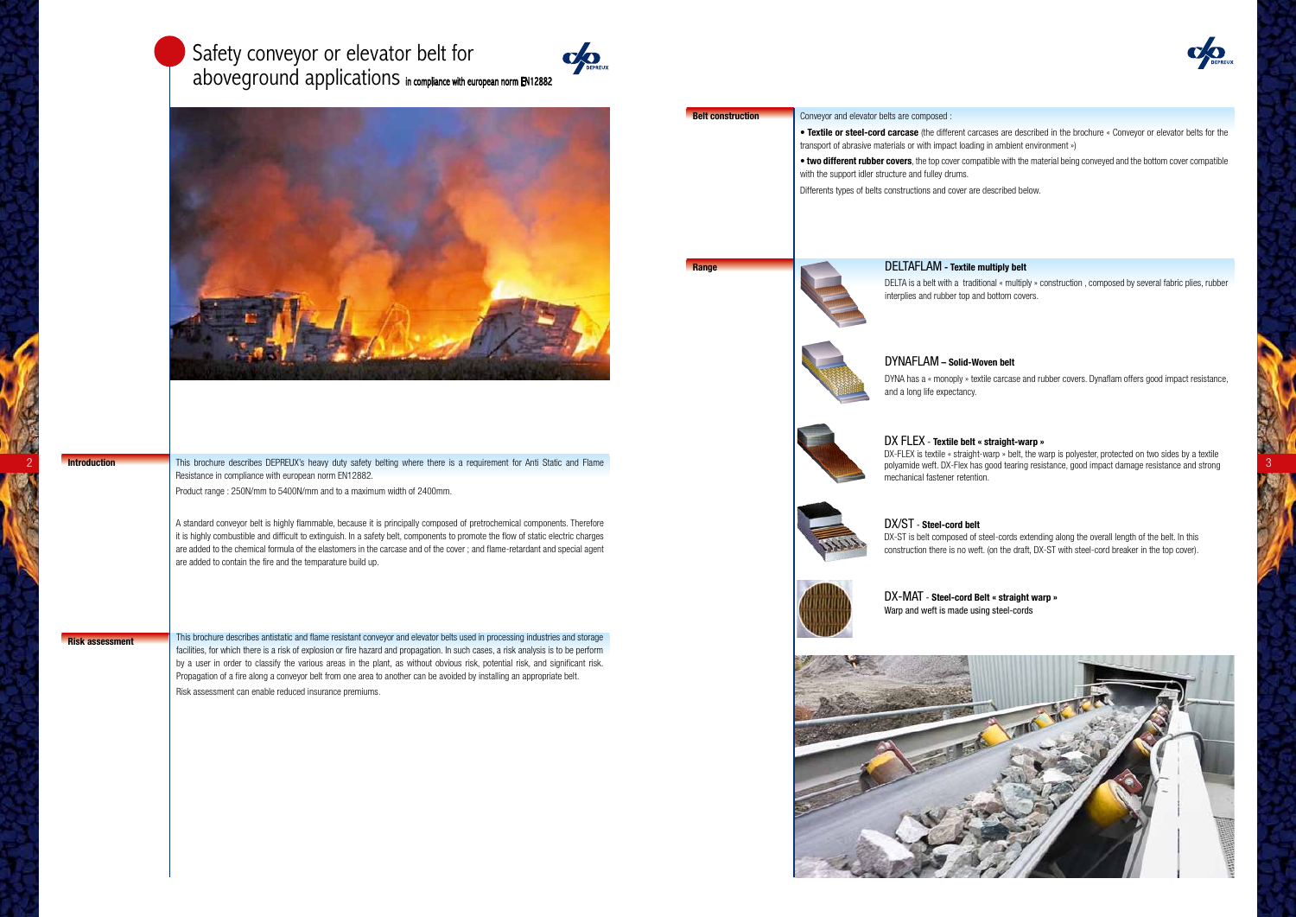**Risk assessment** This brochure describes antistatic and flame resistant conveyor and elevator belts used in processing industries and storage facilities, for which there is a risk of explosion or fire hazard and propagation. In such cases, a risk analysis is to be perform by a user in order to classify the various areas in the plant, as without obvious risk, potential risk, and significant risk. Propagation of a fire along a conveyor belt from one area to another can be avoided by installing an appropriate belt. Risk assessment can enable reduced insurance premiums.

# Safety conveyor or elevator belt for aboveground applications in compliance with european norm EN12882







2 Introduction This brochure describes DEPREUX's heavy duty safety belting where there is a requirement for Anti Static and Flame The Static and Flame polyamide weft. DX-Flex has good tearing resistance, good impact damage Resistance in compliance with european norm EN12882.

• **Textile or steel-cord carcase** (the different carcases are described in the brochure « Conveyor or elevator belts for the ting in ambient environment »)

**the first rubber with the material being conveyed and the bottom cover compatible** 

described below.

Product range : 250N/mm to 5400N/mm and to a maximum width of 2400mm.

A standard conveyor belt is highly flammable, because it is principally composed of pretrochemical components. Therefore it is highly combustible and difficult to extinguish. In a safety belt, components to promote the flow of static electric charges are added to the chemical formula of the elastomers in the carcase and of the cover ; and flame-retardant and special agent are added to contain the fire and the temparature build up.

**Introduction**

| uction <sup>.</sup> | Conveyor and elevator belts are composed :                                                                  |
|---------------------|-------------------------------------------------------------------------------------------------------------|
|                     | • Textile or steel-cord carcase (the different car<br>transport of abrasive materials or with impact loadir |
|                     | . two different rubber covers, the top cover com<br>with the support idler structure and fulley drums.      |
|                     | Differents types of belts constructions and cover are                                                       |
|                     |                                                                                                             |
|                     |                                                                                                             |

DELTAFLAM **- Textile multiply belt**



DELTA is a belt with a traditional « multiply » construction , composed by several fabric plies, rubber interplies and rubber top and bottom covers.

DYNAFLAM **– Solid-Woven belt** and a long life expectancy.

DYNA has a « monoply » textile carcase and rubber covers. Dynaflam offers good impact resistance,





DX FLEX - **Textile belt « straight-warp »** DX-FLEX is textile « straight-warp » belt, the warp is polyester, protected on two sides by a textile polyamide weft. DX-Flex has good tearing resistance, good impact damage resistance and strong mechanical fastener retention.



DX/ST - **Steel-cord belt** DX-ST is belt composed of steel-cords extending along the overall length of the belt. In this construction there is no weft. (on the draft, DX-ST with steel-cord breaker in the top cover).



DX-MAT - **Steel-cord Belt « straight warp »** Warp and weft is made using steel-cords



**Range**

**Belt construction**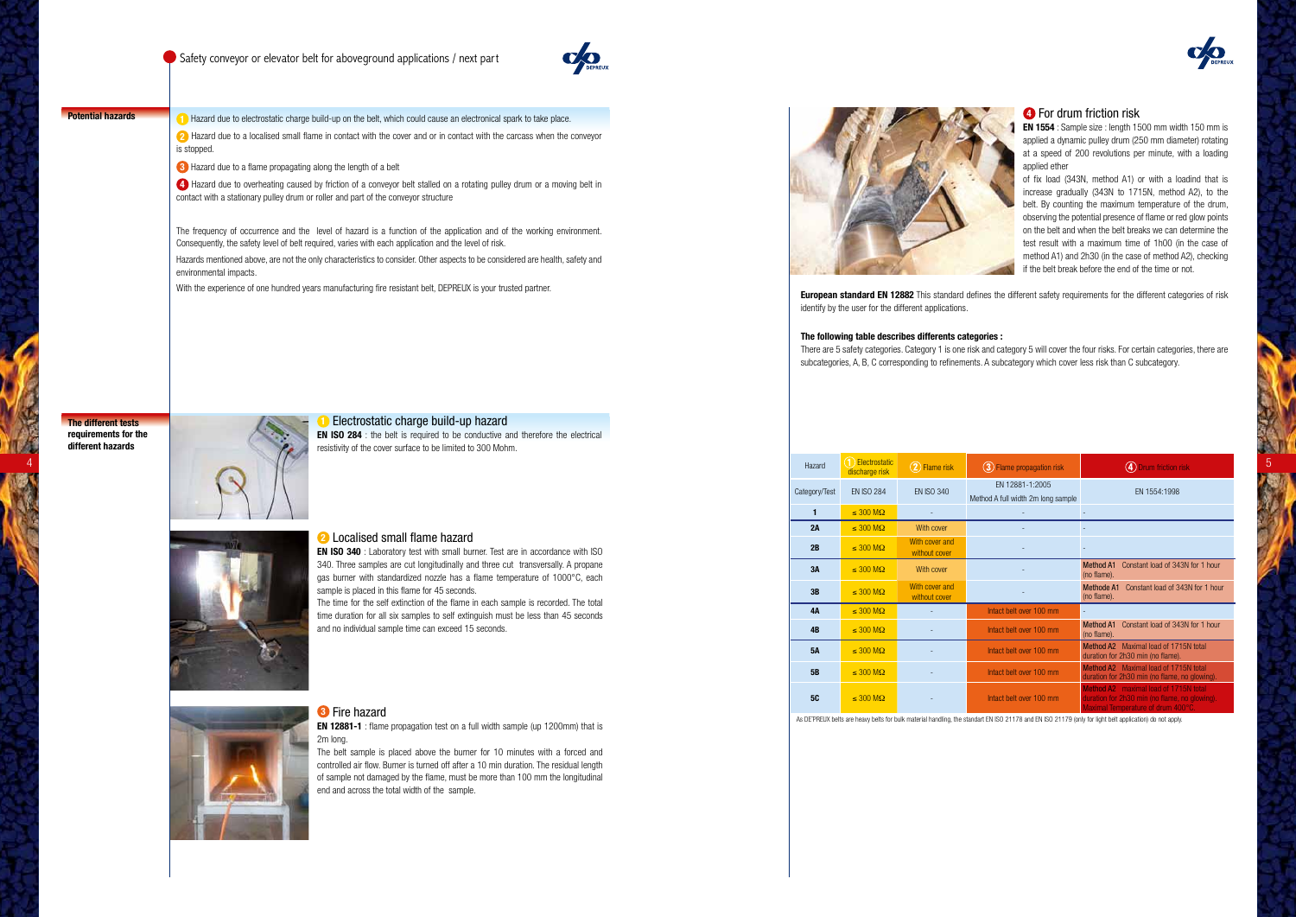

**Potential hazards 1 1 1** Hazard due to electrostatic charge build-up on the belt, which could cause an electronical spark to take place.

**The different tests requirements for the different hazards**



### **1** Electrostatic charge build-up hazard

**EN ISO 284** : the belt is required to be conductive and therefore the electrical resistivity of the cover surface to be limited to 300 Mohm.



### **2** Localised small flame hazard

**EN 12881-1** : flame propagation test on a full width sample (up 1200mm) that is 2m long.



**2** Hazard due to a localised small flame in contact with the cover and or in contact with the carcass when the conveyor is stopped.

### **3** Fire hazard

The belt sample is placed above the burner for 10 minutes with a forced and controlled air flow. Burner is turned off after a 10 min duration. The residual length of sample not damaged by the flame, must be more than 100 mm the longitudinal end and across the total width of the sample.



**3** Hazard due to a flame propagating along the length of a belt

**4** Hazard due to overheating caused by friction of a conveyor belt stalled on a rotating pulley drum or a moving belt in contact with a stationary pulley drum or roller and part of the conveyor structure

> There are 5 safety categories. Category 1 is one risk and category 5 will cover the four risks. For certain categories, there are subcategories, A, B, C corresponding to refinements. A subcategory which cover less risk than C subcategory.

The frequency of occurrence and the level of hazard is a function of the application and of the working environment. Consequently, the safety level of belt required, varies with each application and the level of risk.

Hazards mentioned above, are not the only characteristics to consider. Other aspects to be considered are health, safety and environmental impacts.

With the experience of one hundred years manufacturing fire resistant belt, DEPREUX is your trusted partner.

|              |                                                                                                                                                                          | Hazard        | 1 Electrostatic<br>discharge risk | 2 Flame risk                    | 3 Flame propagation risk                              | 4 Drum friction risk                                                                                                               |
|--------------|--------------------------------------------------------------------------------------------------------------------------------------------------------------------------|---------------|-----------------------------------|---------------------------------|-------------------------------------------------------|------------------------------------------------------------------------------------------------------------------------------------|
|              |                                                                                                                                                                          | Category/Test | <b>EN ISO 284</b>                 | EN ISO 340                      | EN 12881-1:2005<br>Method A full width 2m long sample | EN 1554:1998                                                                                                                       |
|              |                                                                                                                                                                          |               | $\leq 300 \text{ M}\Omega$        | $\sim$ $-$                      |                                                       |                                                                                                                                    |
|              |                                                                                                                                                                          | 2A            | $\leq 300 \text{ M}\Omega$        | With cover                      |                                                       |                                                                                                                                    |
|              | Localised small flame hazard<br><b>EN ISO 340</b> : Laboratory test with small burner. Test are in accordance with ISO                                                   | 2B            | $\leq 300 \text{ M}\Omega$        | With cover and<br>without cover |                                                       |                                                                                                                                    |
|              | 340. Three samples are cut longitudinally and three cut transversally. A propane<br>gas burner with standardized nozzle has a flame temperature of 1000°C, each          | 3A            | $\leq 300 \text{ M}\Omega$        | With cover                      |                                                       | Method A1 Constant load of 343N for 1 hour<br>(no flame).                                                                          |
|              | sample is placed in this flame for 45 seconds.                                                                                                                           | 3B            | $\leq 300 \text{ M}\Omega$        | With cover and<br>without cover |                                                       | Methode A1 Constant load of 343N for 1 hour<br>(no flame).                                                                         |
|              | The time for the self extinction of the flame in each sample is recorded. The total<br>time duration for all six samples to self extinguish must be less than 45 seconds | <b>4A</b>     | $\leq 300 \text{ M}\Omega$        | $\sim$ $-$                      | Intact belt over 100 mm                               |                                                                                                                                    |
|              | and no individual sample time can exceed 15 seconds.                                                                                                                     | 4B            | $\leq 300 \text{ M}\Omega$        | $\sim$                          | Intact belt over 100 mm                               | Method A1 Constant load of 343N for 1 hour<br>(no flame).                                                                          |
| Đ            |                                                                                                                                                                          | 5A            | $\leq 300 \text{ M}\Omega$        | $\sim$                          | Intact belt over 100 mm                               | Method A2 Maximal load of 1715N total<br>duration for 2h30 min (no flame).                                                         |
| <b>STATE</b> |                                                                                                                                                                          | 5B            | $\leq 300 \text{ M}\Omega$        | $\sim$                          | Intact belt over 100 mm                               | Method A2 Maximal load of 1715N total<br>duration for 2h30 min (no flame, no glowing).                                             |
|              | Re Fire hazard                                                                                                                                                           | <b>5C</b>     | $\leq 300 \text{ M}\Omega$        | $\sim$ 10 $\sigma$              | Intact belt over 100 mm                               | <b>Method A2</b> maximal load of 1715N total<br>uration for 2h30 min (no flame, no glowing).<br>laximal Temperature of drum 400°C. |

As DE™PREUX belts are heavy belts for bulk material handling, the standart EN ISO 21178 and EN ISO 21179 (only for light belt application) do not apply.



### **4** For drum friction risk

**EN 1554** : Sample size : length 1500 mm width 150 mm is applied a dynamic pulley drum (250 mm diameter) rotating at a speed of 200 revolutions per minute, with a loading applied ether

of fix load (343N, method A1) or with a loadind that is increase gradually (343N to 1715N, method A2), to the belt. By counting the maximum temperature of the drum, observing the potential presence of flame or red glow points on the belt and when the belt breaks we can determine the test result with a maximum time of 1h00 (in the case of method A1) and 2h30 (in the case of method A2), checking if the belt break before the end of the time or not.

**European standard EN 12882** This standard defines the different safety requirements for the different categories of risk

identify by the user for the different applications.

### **The following table describes differents categories :**